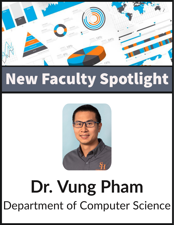

## **New Faculty Spotlight**



## **Dr. Vung Pham** Department of Computer Science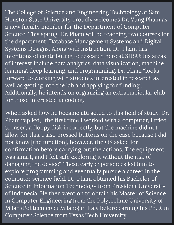The College of Science and Engineering Technology at Sam Systems Designs. Along with instruction, Dr. Pham has learning, deep learning, and programming. Dr. Pham "looks intentions of contributing to research here at SHSU; his areas of interest include data analytics, data visualization, machine Houston State University proudly welcomes Dr. Vung Pham as a new faculty member for the Department of Computer Science. This spring, Dr. Pham will be teaching two courses for the department: Database Management Systems and Digital forward to working with students interested in research as well as getting into the lab and applying for funding". Additionally, he intends on organizing an extracurricular club for those interested in coding.

was smart, and I felt safe exploring it without the risk of computer science field. Dr. Pham obtained his Bachelor of Science in Information Technology from President University of Indonesia. He then went on to obtain his Master of Science in Computer Engineering from the Polytechnic University of When asked how he became attracted to this field of study, Dr. Pham replied, "the first time I worked with a computer, I tried to insert a floppy disk incorrectly, but the machine did not allow for this. I also pressed buttons on the case because I did Milan (Politecnico di Milano) in Italy before earning his Ph.D. in Computer Science from Texas Tech University. not know [the function], however, the OS asked for explore programming and eventually pursue a career in the confirmation before carrying out the actions. The equipment damaging the device". These early experiences led him to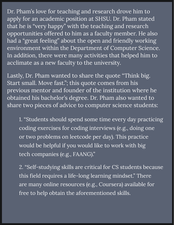Dr. Pham's love for teaching and research drove him to apply for an academic position at SHSU. Dr. Pham stated that he is "very happy" with the teaching and research opportunities offered to him as a faculty member. He also had a "great feeling" about the open and friendly working environment within the Department of Computer Science. In addition, there were many activities that helped him to acclimate as a new faculty to the university.

Lastly, Dr. Pham wanted to share the quote "Think big. Start small. Move fast."; this quote comes from his previous mentor and founder of the institution where he obtained his bachelor's degree. Dr. Pham also wanted to share two pieces of advice to computer science students:

or two problems on leetcode per day). This practice 1. "Students should spend some time every day practicing coding exercises for coding interviews (e.g., doing one would be helpful if you would like to work with big tech companies (e.g., FAANG)."

are many online resources (e.g., Coursera) available for this field requires a life-long learning mindset." There 2. "Self-studying skills are critical for CS students because free to help obtain the aforementioned skills.